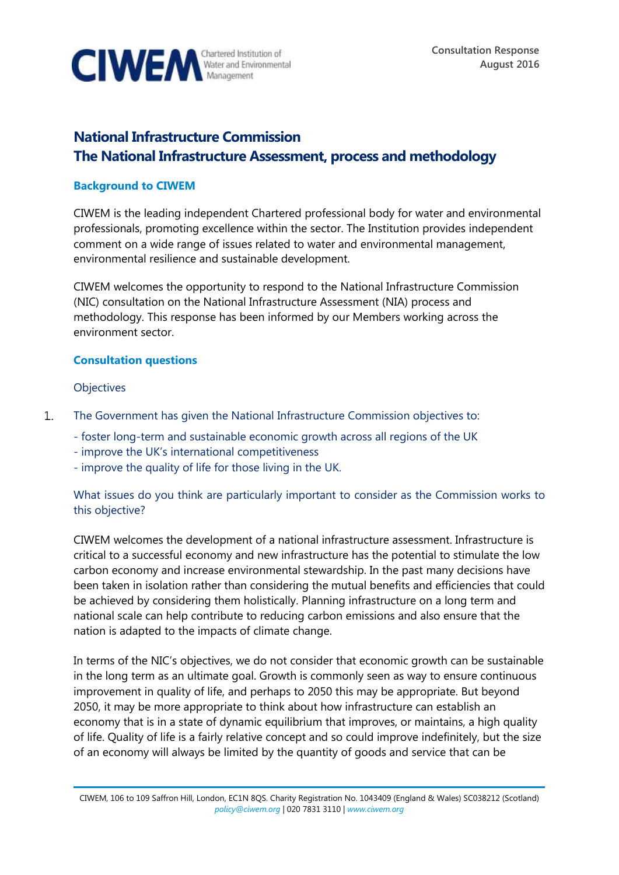

# **National Infrastructure Commission The National Infrastructure Assessment, process and methodology**

## **Background to CIWEM**

CIWEM is the leading independent Chartered professional body for water and environmental professionals, promoting excellence within the sector. The Institution provides independent comment on a wide range of issues related to water and environmental management, environmental resilience and sustainable development.

CIWEM welcomes the opportunity to respond to the National Infrastructure Commission (NIC) consultation on the National Infrastructure Assessment (NIA) process and methodology. This response has been informed by our Members working across the environment sector.

#### **Consultation questions**

#### **Objectives**

- The Government has given the National Infrastructure Commission objectives to:  $\mathbf{1}$ .
	- foster long-term and sustainable economic growth across all regions of the UK
	- improve the UK's international competitiveness
	- improve the quality of life for those living in the UK.

What issues do you think are particularly important to consider as the Commission works to this objective?

CIWEM welcomes the development of a national infrastructure assessment. Infrastructure is critical to a successful economy and new infrastructure has the potential to stimulate the low carbon economy and increase environmental stewardship. In the past many decisions have been taken in isolation rather than considering the mutual benefits and efficiencies that could be achieved by considering them holistically. Planning infrastructure on a long term and national scale can help contribute to reducing carbon emissions and also ensure that the nation is adapted to the impacts of climate change.

In terms of the NIC's objectives, we do not consider that economic growth can be sustainable in the long term as an ultimate goal. Growth is commonly seen as way to ensure continuous improvement in quality of life, and perhaps to 2050 this may be appropriate. But beyond 2050, it may be more appropriate to think about how infrastructure can establish an economy that is in a state of dynamic equilibrium that improves, or maintains, a high quality of life. Quality of life is a fairly relative concept and so could improve indefinitely, but the size of an economy will always be limited by the quantity of goods and service that can be

CIWEM, 106 to 109 Saffron Hill, London, EC1N 8QS. Charity Registration No. 1043409 (England & Wales) SC038212 (Scotland) *[policy@ciwem.org](mailto:policy@ciwem.org)* | 020 7831 3110 | *[www.ciwem.org](http://www.ciwem.org/)*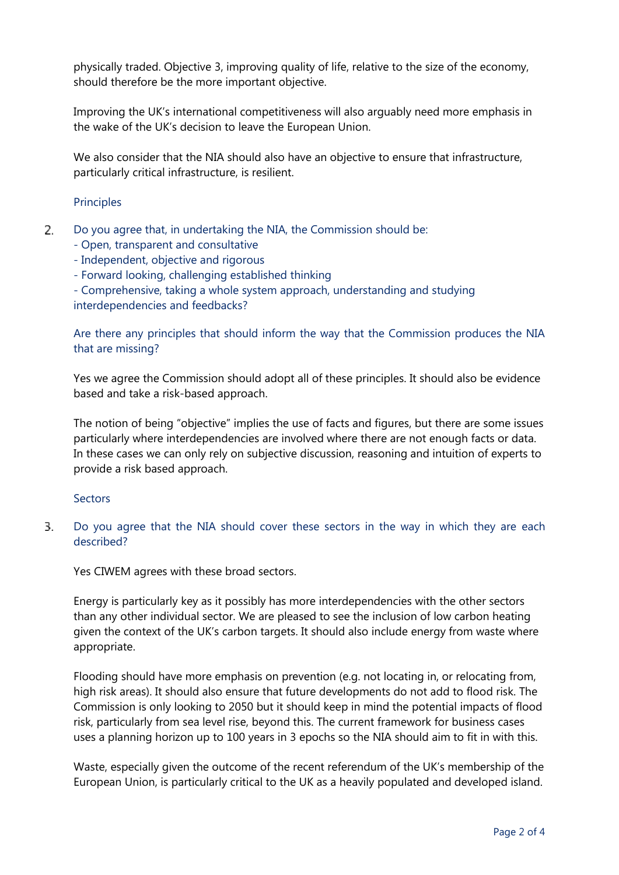physically traded. Objective 3, improving quality of life, relative to the size of the economy, should therefore be the more important objective.

Improving the UK's international competitiveness will also arguably need more emphasis in the wake of the UK's decision to leave the European Union.

We also consider that the NIA should also have an objective to ensure that infrastructure, particularly critical infrastructure, is resilient.

## **Principles**

- 2. Do you agree that, in undertaking the NIA, the Commission should be:
	- Open, transparent and consultative
	- Independent, objective and rigorous
	- Forward looking, challenging established thinking
	- Comprehensive, taking a whole system approach, understanding and studying interdependencies and feedbacks?

Are there any principles that should inform the way that the Commission produces the NIA that are missing?

Yes we agree the Commission should adopt all of these principles. It should also be evidence based and take a risk-based approach.

The notion of being "objective" implies the use of facts and figures, but there are some issues particularly where interdependencies are involved where there are not enough facts or data. In these cases we can only rely on subjective discussion, reasoning and intuition of experts to provide a risk based approach.

## **Sectors**

3. Do you agree that the NIA should cover these sectors in the way in which they are each described?

Yes CIWEM agrees with these broad sectors.

Energy is particularly key as it possibly has more interdependencies with the other sectors than any other individual sector. We are pleased to see the inclusion of low carbon heating given the context of the UK's carbon targets. It should also include energy from waste where appropriate.

Flooding should have more emphasis on prevention (e.g. not locating in, or relocating from, high risk areas). It should also ensure that future developments do not add to flood risk. The Commission is only looking to 2050 but it should keep in mind the potential impacts of flood risk, particularly from sea level rise, beyond this. The current framework for business cases uses a planning horizon up to 100 years in 3 epochs so the NIA should aim to fit in with this.

Waste, especially given the outcome of the recent referendum of the UK's membership of the European Union, is particularly critical to the UK as a heavily populated and developed island.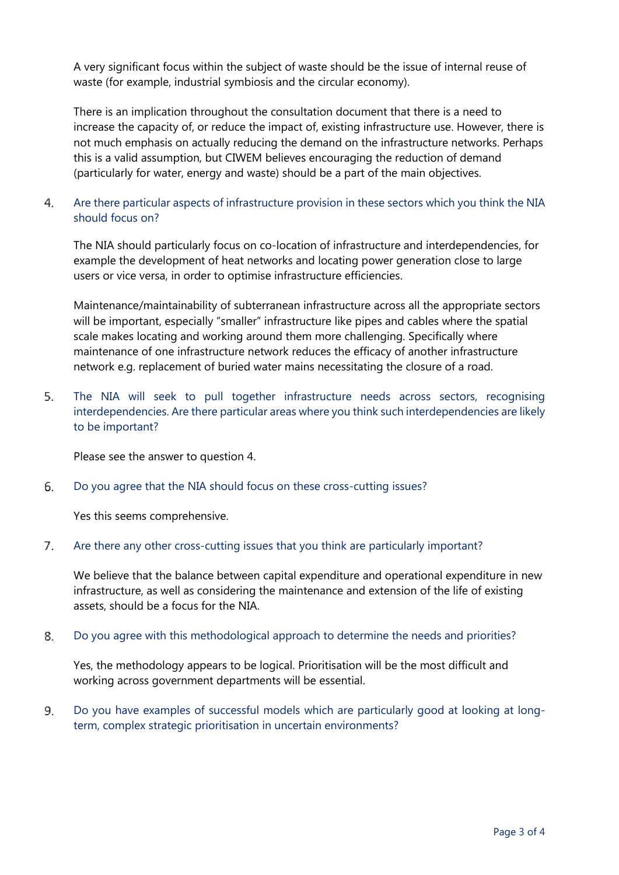A very significant focus within the subject of waste should be the issue of internal reuse of waste (for example, industrial symbiosis and the circular economy).

There is an implication throughout the consultation document that there is a need to increase the capacity of, or reduce the impact of, existing infrastructure use. However, there is not much emphasis on actually reducing the demand on the infrastructure networks. Perhaps this is a valid assumption, but CIWEM believes encouraging the reduction of demand (particularly for water, energy and waste) should be a part of the main objectives.

#### $4.$ Are there particular aspects of infrastructure provision in these sectors which you think the NIA should focus on?

The NIA should particularly focus on co-location of infrastructure and interdependencies, for example the development of heat networks and locating power generation close to large users or vice versa, in order to optimise infrastructure efficiencies.

Maintenance/maintainability of subterranean infrastructure across all the appropriate sectors will be important, especially "smaller" infrastructure like pipes and cables where the spatial scale makes locating and working around them more challenging. Specifically where maintenance of one infrastructure network reduces the efficacy of another infrastructure network e.g. replacement of buried water mains necessitating the closure of a road.

5. The NIA will seek to pull together infrastructure needs across sectors, recognising interdependencies. Are there particular areas where you think such interdependencies are likely to be important?

Please see the answer to question 4.

6. Do you agree that the NIA should focus on these cross-cutting issues?

Yes this seems comprehensive.

#### $7<sub>1</sub>$ Are there any other cross-cutting issues that you think are particularly important?

We believe that the balance between capital expenditure and operational expenditure in new infrastructure, as well as considering the maintenance and extension of the life of existing assets, should be a focus for the NIA.

8. Do you agree with this methodological approach to determine the needs and priorities?

Yes, the methodology appears to be logical. Prioritisation will be the most difficult and working across government departments will be essential.

9. Do you have examples of successful models which are particularly good at looking at longterm, complex strategic prioritisation in uncertain environments?